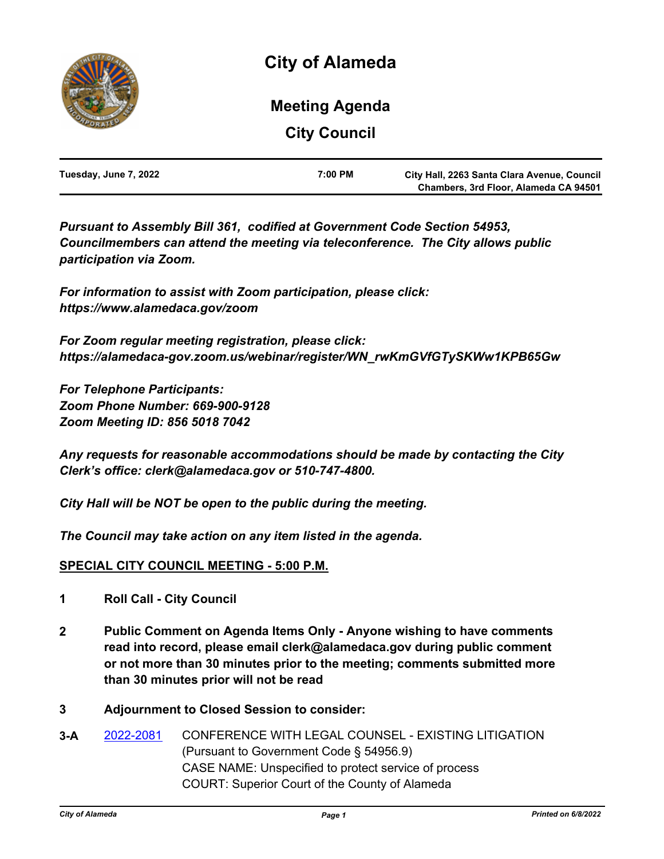

# **City Council Meeting Agenda**

| Tuesday, June 7, 2022 | 7:00 PM | City Hall, 2263 Santa Clara Avenue, Council |
|-----------------------|---------|---------------------------------------------|
|                       |         | Chambers, 3rd Floor, Alameda CA 94501       |

*Pursuant to Assembly Bill 361, codified at Government Code Section 54953, Councilmembers can attend the meeting via teleconference. The City allows public participation via Zoom.* 

*For information to assist with Zoom participation, please click: https://www.alamedaca.gov/zoom*

*For Zoom regular meeting registration, please click: https://alamedaca-gov.zoom.us/webinar/register/WN\_rwKmGVfGTySKWw1KPB65Gw*

*For Telephone Participants: Zoom Phone Number: 669-900-9128 Zoom Meeting ID: 856 5018 7042*

*Any requests for reasonable accommodations should be made by contacting the City Clerk's office: clerk@alamedaca.gov or 510-747-4800.*

*City Hall will be NOT be open to the public during the meeting.*

*The Council may take action on any item listed in the agenda.*

#### **SPECIAL CITY COUNCIL MEETING - 5:00 P.M.**

- **1 Roll Call City Council**
- **2 Public Comment on Agenda Items Only Anyone wishing to have comments read into record, please email clerk@alamedaca.gov during public comment or not more than 30 minutes prior to the meeting; comments submitted more than 30 minutes prior will not be read**
- **3 Adjournment to Closed Session to consider:**
- **3-A** [2022-2081](http://alameda.legistar.com/gateway.aspx?m=l&id=/matter.aspx?key=11858) CONFERENCE WITH LEGAL COUNSEL EXISTING LITIGATION (Pursuant to Government Code § 54956.9) CASE NAME: Unspecified to protect service of process COURT: Superior Court of the County of Alameda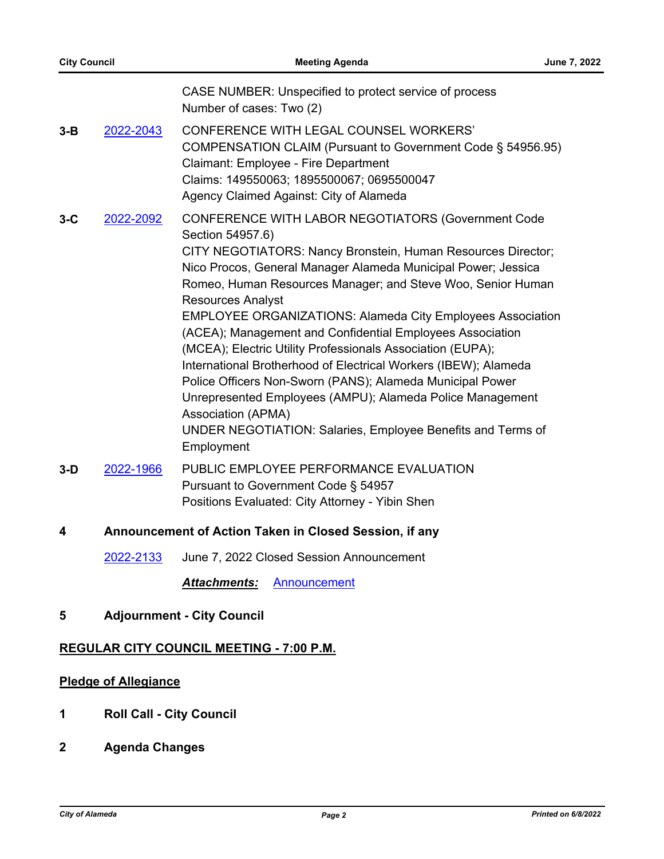|       |                                                        | CASE NUMBER: Unspecified to protect service of process<br>Number of cases: Two (2)                                                                                                                                                                                                                                                                                                                                                                                                                                                                                                                                                                                                                                                                                                                 |  |
|-------|--------------------------------------------------------|----------------------------------------------------------------------------------------------------------------------------------------------------------------------------------------------------------------------------------------------------------------------------------------------------------------------------------------------------------------------------------------------------------------------------------------------------------------------------------------------------------------------------------------------------------------------------------------------------------------------------------------------------------------------------------------------------------------------------------------------------------------------------------------------------|--|
| 3-B   | 2022-2043                                              | <b>CONFERENCE WITH LEGAL COUNSEL WORKERS'</b><br>COMPENSATION CLAIM (Pursuant to Government Code § 54956.95)<br>Claimant: Employee - Fire Department<br>Claims: 149550063; 1895500067; 0695500047<br>Agency Claimed Against: City of Alameda                                                                                                                                                                                                                                                                                                                                                                                                                                                                                                                                                       |  |
| $3-C$ | 2022-2092                                              | CONFERENCE WITH LABOR NEGOTIATORS (Government Code<br>Section 54957.6)<br>CITY NEGOTIATORS: Nancy Bronstein, Human Resources Director;<br>Nico Procos, General Manager Alameda Municipal Power; Jessica<br>Romeo, Human Resources Manager; and Steve Woo, Senior Human<br><b>Resources Analyst</b><br><b>EMPLOYEE ORGANIZATIONS: Alameda City Employees Association</b><br>(ACEA); Management and Confidential Employees Association<br>(MCEA); Electric Utility Professionals Association (EUPA);<br>International Brotherhood of Electrical Workers (IBEW); Alameda<br>Police Officers Non-Sworn (PANS); Alameda Municipal Power<br>Unrepresented Employees (AMPU); Alameda Police Management<br>Association (APMA)<br>UNDER NEGOTIATION: Salaries, Employee Benefits and Terms of<br>Employment |  |
| 3-D   | 2022-1966                                              | PUBLIC EMPLOYEE PERFORMANCE EVALUATION<br>Pursuant to Government Code § 54957<br>Positions Evaluated: City Attorney - Yibin Shen                                                                                                                                                                                                                                                                                                                                                                                                                                                                                                                                                                                                                                                                   |  |
| 4     | Announcement of Action Taken in Closed Session, if any |                                                                                                                                                                                                                                                                                                                                                                                                                                                                                                                                                                                                                                                                                                                                                                                                    |  |
|       | 2022-2133                                              | June 7, 2022 Closed Session Announcement                                                                                                                                                                                                                                                                                                                                                                                                                                                                                                                                                                                                                                                                                                                                                           |  |
|       |                                                        | <b>Attachments:</b><br>Announcement                                                                                                                                                                                                                                                                                                                                                                                                                                                                                                                                                                                                                                                                                                                                                                |  |

**5 Adjournment - City Council**

### **REGULAR CITY COUNCIL MEETING - 7:00 P.M.**

## **Pledge of Allegiance**

- **1 Roll Call City Council**
- **2 Agenda Changes**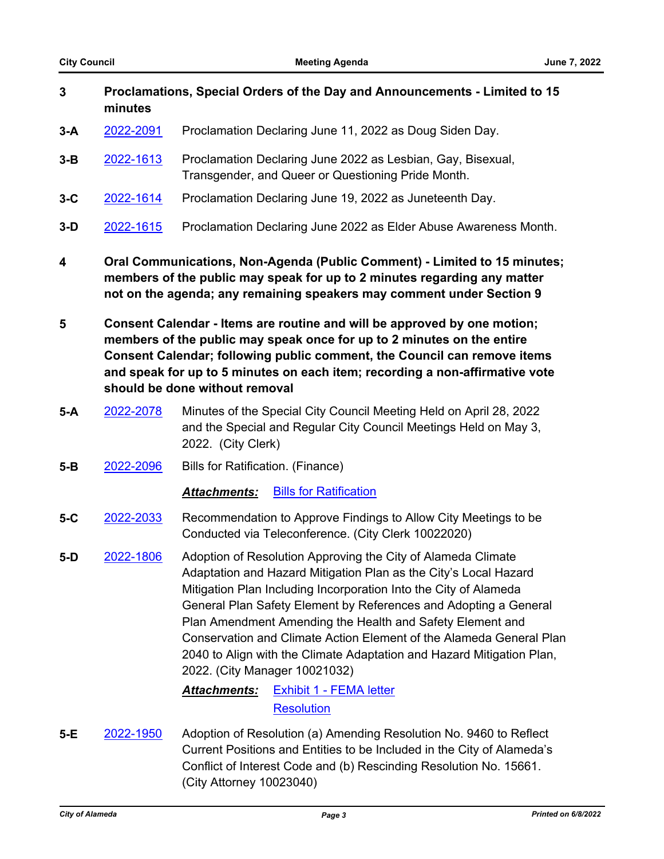| 3     | Proclamations, Special Orders of the Day and Announcements - Limited to 15<br>minutes |                                                                                                                   |
|-------|---------------------------------------------------------------------------------------|-------------------------------------------------------------------------------------------------------------------|
| $3-A$ | 2022-2091                                                                             | Proclamation Declaring June 11, 2022 as Doug Siden Day.                                                           |
| $3-B$ | 2022-1613                                                                             | Proclamation Declaring June 2022 as Lesbian, Gay, Bisexual,<br>Transgender, and Queer or Questioning Pride Month. |
| $3-C$ | 2022-1614                                                                             | Proclamation Declaring June 19, 2022 as Juneteenth Day.                                                           |
| $3-D$ | 2022-1615                                                                             | Proclamation Declaring June 2022 as Elder Abuse Awareness Month.                                                  |

- **4 Oral Communications, Non-Agenda (Public Comment) Limited to 15 minutes; members of the public may speak for up to 2 minutes regarding any matter not on the agenda; any remaining speakers may comment under Section 9**
- **5 Consent Calendar Items are routine and will be approved by one motion; members of the public may speak once for up to 2 minutes on the entire Consent Calendar; following public comment, the Council can remove items and speak for up to 5 minutes on each item; recording a non-affirmative vote should be done without removal**
- **5-A** [2022-2078](http://alameda.legistar.com/gateway.aspx?m=l&id=/matter.aspx?key=11855) Minutes of the Special City Council Meeting Held on April 28, 2022 and the Special and Regular City Council Meetings Held on May 3, 2022. (City Clerk)
- **5-B** [2022-2096](http://alameda.legistar.com/gateway.aspx?m=l&id=/matter.aspx?key=11873) Bills for Ratification. (Finance)

*Attachments:* [Bills for Ratification](http://alameda.legistar.com/gateway.aspx?M=F&ID=3447b50c-19d7-4924-a975-f9347b253f40.pdf)

- **5-C** [2022-2033](http://alameda.legistar.com/gateway.aspx?m=l&id=/matter.aspx?key=11810) Recommendation to Approve Findings to Allow City Meetings to be Conducted via Teleconference. (City Clerk 10022020)
- **5-D** [2022-1806](http://alameda.legistar.com/gateway.aspx?m=l&id=/matter.aspx?key=11583) Adoption of Resolution Approving the City of Alameda Climate Adaptation and Hazard Mitigation Plan as the City's Local Hazard Mitigation Plan Including Incorporation Into the City of Alameda General Plan Safety Element by References and Adopting a General Plan Amendment Amending the Health and Safety Element and Conservation and Climate Action Element of the Alameda General Plan 2040 to Align with the Climate Adaptation and Hazard Mitigation Plan, 2022. (City Manager 10021032)

## *Attachments:* [Exhibit 1 - FEMA letter](http://alameda.legistar.com/gateway.aspx?M=F&ID=6bc1acae-562b-4ca6-a4b1-d45a46b3f9d3.pdf) **[Resolution](http://alameda.legistar.com/gateway.aspx?M=F&ID=d746feca-899e-4212-ad30-2310e72b63ad.pdf)**

**5-E** [2022-1950](http://alameda.legistar.com/gateway.aspx?m=l&id=/matter.aspx?key=11727) Adoption of Resolution (a) Amending Resolution No. 9460 to Reflect Current Positions and Entities to be Included in the City of Alameda's Conflict of Interest Code and (b) Rescinding Resolution No. 15661. (City Attorney 10023040)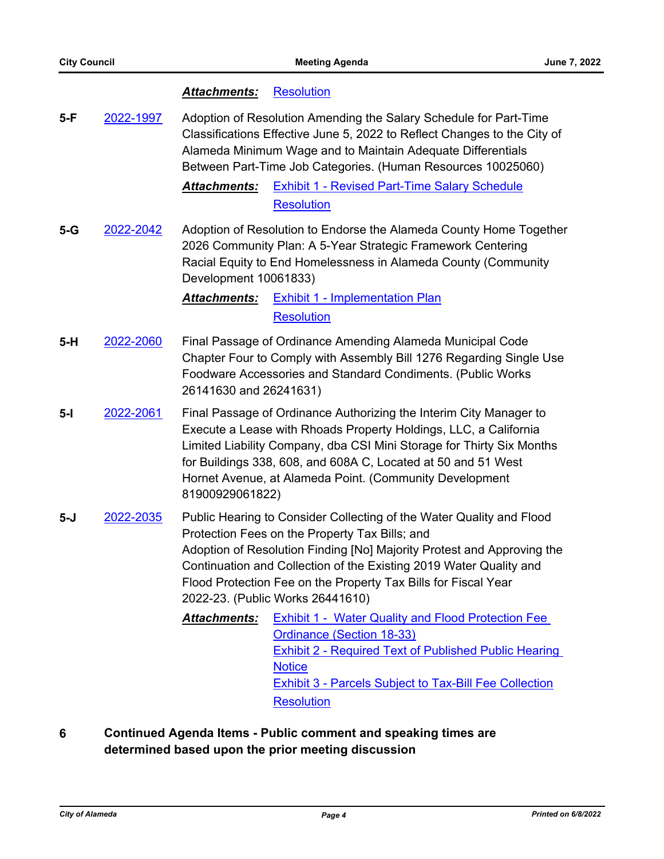#### *Attachments:* [Resolution](http://alameda.legistar.com/gateway.aspx?M=F&ID=6249c383-548b-4157-bb91-564d8257ef5e.pdf)

**5-F** [2022-1997](http://alameda.legistar.com/gateway.aspx?m=l&id=/matter.aspx?key=11774) Adoption of Resolution Amending the Salary Schedule for Part-Time Classifications Effective June 5, 2022 to Reflect Changes to the City of Alameda Minimum Wage and to Maintain Adequate Differentials Between Part-Time Job Categories. (Human Resources 10025060)

> *Attachments:* [Exhibit 1 - Revised Part-Time Salary Schedule](http://alameda.legistar.com/gateway.aspx?M=F&ID=8218d332-5450-422d-8f37-8a73c6e2505f.pdf) **[Resolution](http://alameda.legistar.com/gateway.aspx?M=F&ID=e66d0460-6400-4a99-96b6-17960a3c8dc3.pdf)**

**5-G** [2022-2042](http://alameda.legistar.com/gateway.aspx?m=l&id=/matter.aspx?key=11819) Adoption of Resolution to Endorse the Alameda County Home Together 2026 Community Plan: A 5-Year Strategic Framework Centering Racial Equity to End Homelessness in Alameda County (Community Development 10061833)

> *Attachments:* [Exhibit 1 - Implementation Plan](http://alameda.legistar.com/gateway.aspx?M=F&ID=b99eba5a-a7d0-46f1-929a-4886ce052ac5.pdf) **[Resolution](http://alameda.legistar.com/gateway.aspx?M=F&ID=b975cfee-f307-465f-87d4-efe1dd9cf21a.pdf)**

- **5-H** [2022-2060](http://alameda.legistar.com/gateway.aspx?m=l&id=/matter.aspx?key=11837) Final Passage of Ordinance Amending Alameda Municipal Code Chapter Four to Comply with Assembly Bill 1276 Regarding Single Use Foodware Accessories and Standard Condiments. (Public Works 26141630 and 26241631)
- **5-I** [2022-2061](http://alameda.legistar.com/gateway.aspx?m=l&id=/matter.aspx?key=11838) Final Passage of Ordinance Authorizing the Interim City Manager to Execute a Lease with Rhoads Property Holdings, LLC, a California Limited Liability Company, dba CSI Mini Storage for Thirty Six Months for Buildings 338, 608, and 608A C, Located at 50 and 51 West Hornet Avenue, at Alameda Point. (Community Development 81900929061822)
- **5-J** [2022-2035](http://alameda.legistar.com/gateway.aspx?m=l&id=/matter.aspx?key=11812) Public Hearing to Consider Collecting of the Water Quality and Flood Protection Fees on the Property Tax Bills; and Adoption of Resolution Finding [No] Majority Protest and Approving the Continuation and Collection of the Existing 2019 Water Quality and Flood Protection Fee on the Property Tax Bills for Fiscal Year 2022-23. (Public Works 26441610)
	- *Attachments:* [Exhibit 1 Water Quality and Flood Protection Fee](http://alameda.legistar.com/gateway.aspx?M=F&ID=f44f26d7-eafc-4c1c-b127-6699c0e28c04.pdf)  Ordinance (Section 18-33) [Exhibit 2 - Required Text of Published Public Hearing](http://alameda.legistar.com/gateway.aspx?M=F&ID=072ee841-7cc0-4d95-a07f-965783811e64.pdf)  **Notice** [Exhibit 3 - Parcels Subject to Tax-Bill Fee Collection](http://alameda.legistar.com/gateway.aspx?M=F&ID=d18d7494-8044-4b4a-9228-9eead5aa9799.pdf) **[Resolution](http://alameda.legistar.com/gateway.aspx?M=F&ID=8ae21f0a-0420-4963-aabd-be1354946556.pdf)**
- **6 Continued Agenda Items Public comment and speaking times are determined based upon the prior meeting discussion**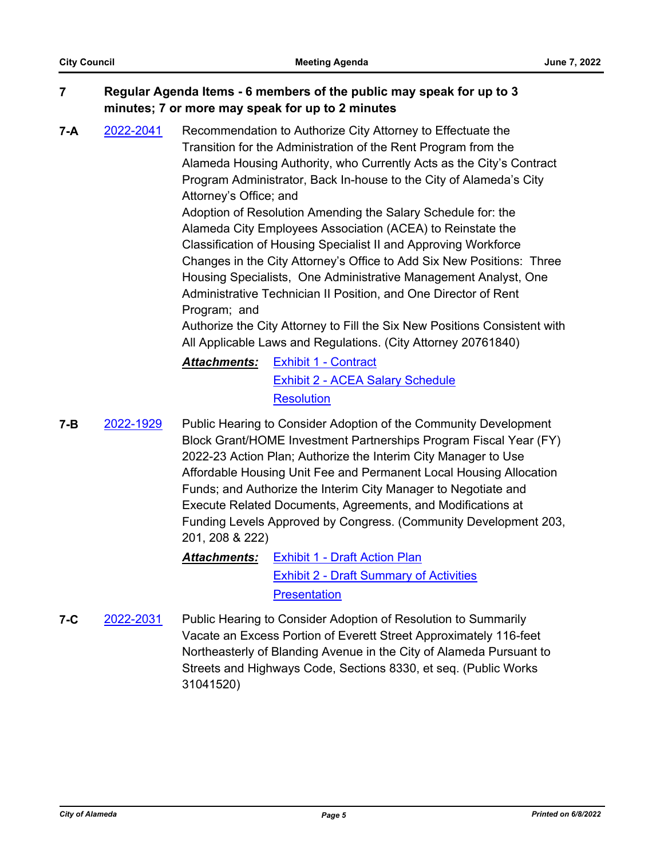## **7 Regular Agenda Items - 6 members of the public may speak for up to 3 minutes; 7 or more may speak for up to 2 minutes**

**7-A** [2022-2041](http://alameda.legistar.com/gateway.aspx?m=l&id=/matter.aspx?key=11818) Recommendation to Authorize City Attorney to Effectuate the Transition for the Administration of the Rent Program from the Alameda Housing Authority, who Currently Acts as the City's Contract Program Administrator, Back In-house to the City of Alameda's City Attorney's Office; and

> Adoption of Resolution Amending the Salary Schedule for: the Alameda City Employees Association (ACEA) to Reinstate the Classification of Housing Specialist II and Approving Workforce Changes in the City Attorney's Office to Add Six New Positions: Three Housing Specialists, One Administrative Management Analyst, One Administrative Technician II Position, and One Director of Rent Program; and

Authorize the City Attorney to Fill the Six New Positions Consistent with All Applicable Laws and Regulations. (City Attorney 20761840)

# *Attachments:* [Exhibit 1 - Contract](http://alameda.legistar.com/gateway.aspx?M=F&ID=a582ac20-be2a-4e59-a152-8e8fd44e6af2.pdf) [Exhibit 2 - ACEA Salary Schedule](http://alameda.legistar.com/gateway.aspx?M=F&ID=888a3b90-d609-4487-a20e-2fd8ad4de437.pdf) **[Resolution](http://alameda.legistar.com/gateway.aspx?M=F&ID=dfdce20c-6242-41b7-9d36-699ed97d63a7.pdf)**

**7-B** [2022-1929](http://alameda.legistar.com/gateway.aspx?m=l&id=/matter.aspx?key=11706) Public Hearing to Consider Adoption of the Community Development Block Grant/HOME Investment Partnerships Program Fiscal Year (FY) 2022-23 Action Plan; Authorize the Interim City Manager to Use Affordable Housing Unit Fee and Permanent Local Housing Allocation Funds; and Authorize the Interim City Manager to Negotiate and Execute Related Documents, Agreements, and Modifications at Funding Levels Approved by Congress. (Community Development 203, 201, 208 & 222)

# *Attachments:* [Exhibit 1 - Draft Action Plan](http://alameda.legistar.com/gateway.aspx?M=F&ID=73130515-bbd6-4d91-b549-59f309008500.pdf) [Exhibit 2 - Draft Summary of Activities](http://alameda.legistar.com/gateway.aspx?M=F&ID=471d486f-c01b-471a-8720-6abfda2ef1ad.pdf) **[Presentation](http://alameda.legistar.com/gateway.aspx?M=F&ID=0fb6882c-4c59-49f2-859b-320a57e8eef4.pptx)**

**7-C** [2022-2031](http://alameda.legistar.com/gateway.aspx?m=l&id=/matter.aspx?key=11808) Public Hearing to Consider Adoption of Resolution to Summarily Vacate an Excess Portion of Everett Street Approximately 116-feet Northeasterly of Blanding Avenue in the City of Alameda Pursuant to Streets and Highways Code, Sections 8330, et seq. (Public Works 31041520)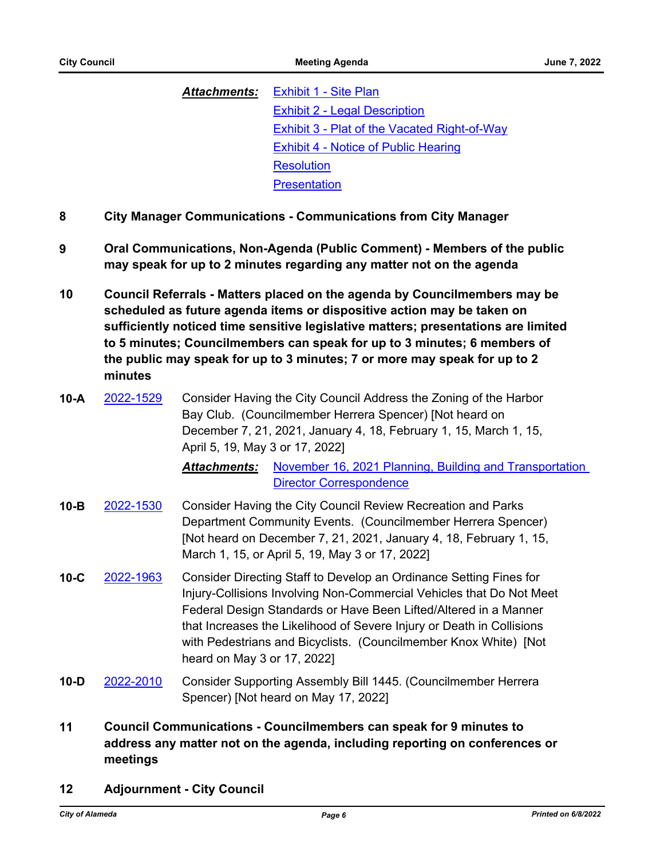*Attachments:* [Exhibit 1 - Site Plan](http://alameda.legistar.com/gateway.aspx?M=F&ID=95717ff3-5f07-4e46-bd1b-9f2c9a697c98.pdf) [Exhibit 2 - Legal Description](http://alameda.legistar.com/gateway.aspx?M=F&ID=59653fff-87e4-43f8-8b87-c8560a3e8197.pdf) **[Exhibit 3 - Plat of the Vacated Right-of-Way](http://alameda.legistar.com/gateway.aspx?M=F&ID=14662036-3dd9-4062-866f-2e312e817ba0.pdf)** [Exhibit 4 - Notice of Public Hearing](http://alameda.legistar.com/gateway.aspx?M=F&ID=a3060f4f-867e-4c6b-b213-9f43d4082fd6.pdf) **[Resolution](http://alameda.legistar.com/gateway.aspx?M=F&ID=bad2a407-cc45-4e9b-9e75-e2942de98a26.pdf) [Presentation](http://alameda.legistar.com/gateway.aspx?M=F&ID=3b2a8d4d-6e89-4200-82df-70bd9169153c.pdf)** 

- **8 City Manager Communications Communications from City Manager**
- **9 Oral Communications, Non-Agenda (Public Comment) Members of the public may speak for up to 2 minutes regarding any matter not on the agenda**
- **10 Council Referrals Matters placed on the agenda by Councilmembers may be scheduled as future agenda items or dispositive action may be taken on sufficiently noticed time sensitive legislative matters; presentations are limited to 5 minutes; Councilmembers can speak for up to 3 minutes; 6 members of the public may speak for up to 3 minutes; 7 or more may speak for up to 2 minutes**
- **10-A** [2022-1529](http://alameda.legistar.com/gateway.aspx?m=l&id=/matter.aspx?key=11306) Consider Having the City Council Address the Zoning of the Harbor Bay Club. (Councilmember Herrera Spencer) [Not heard on December 7, 21, 2021, January 4, 18, February 1, 15, March 1, 15, April 5, 19, May 3 or 17, 2022]

*Attachments:* [November 16, 2021 Planning, Building and Transportation](http://alameda.legistar.com/gateway.aspx?M=F&ID=8512fe45-f6c7-4078-8fef-7ef500ac295f.pdf)  Director Correspondence

- **10-B** [2022-1530](http://alameda.legistar.com/gateway.aspx?m=l&id=/matter.aspx?key=11307) Consider Having the City Council Review Recreation and Parks Department Community Events. (Councilmember Herrera Spencer) [Not heard on December 7, 21, 2021, January 4, 18, February 1, 15, March 1, 15, or April 5, 19, May 3 or 17, 2022]
- **10-C** [2022-1963](http://alameda.legistar.com/gateway.aspx?m=l&id=/matter.aspx?key=11740) Consider Directing Staff to Develop an Ordinance Setting Fines for Injury-Collisions Involving Non-Commercial Vehicles that Do Not Meet Federal Design Standards or Have Been Lifted/Altered in a Manner that Increases the Likelihood of Severe Injury or Death in Collisions with Pedestrians and Bicyclists. (Councilmember Knox White) [Not heard on May 3 or 17, 2022]
- **10-D** [2022-2010](http://alameda.legistar.com/gateway.aspx?m=l&id=/matter.aspx?key=11787) Consider Supporting Assembly Bill 1445. (Councilmember Herrera Spencer) [Not heard on May 17, 2022]
- **11 Council Communications Councilmembers can speak for 9 minutes to address any matter not on the agenda, including reporting on conferences or meetings**
- **12 Adjournment City Council**